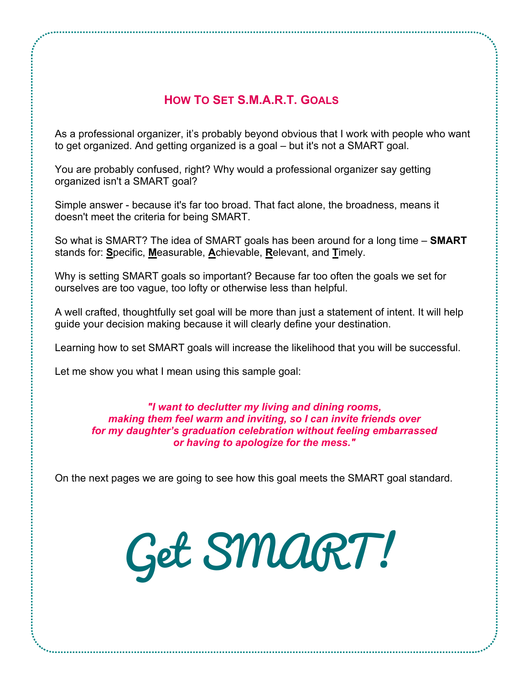As a professional organizer, it's probably beyond obvious that I work with people who want to get organized. And getting organized is a goal – but it's not a SMART goal.

You are probably confused, right? Why would a professional organizer say getting organized isn't a SMART goal?

Simple answer - because it's far too broad. That fact alone, the broadness, means it doesn't meet the criteria for being SMART.

So what is SMART? The idea of SMART goals has been around for a long time – **SMART** stands for: **S**pecific, **M**easurable, **A**chievable, **R**elevant, and **T**imely.

Why is setting SMART goals so important? Because far too often the goals we set for ourselves are too vague, too lofty or otherwise less than helpful.

A well crafted, thoughtfully set goal will be more than just a statement of intent. It will help guide your decision making because it will clearly define your destination.

Learning how to set SMART goals will increase the likelihood that you will be successful.

Let me show you what I mean using this sample goal:

## *"I want to declutter my living and dining rooms, making them feel warm and inviting, so I can invite friends over for my daughter's graduation celebration without feeling embarrassed or having to apologize for the mess."*

On the next pages we are going to see how this goal meets the SMART goal standard.

Get SMART!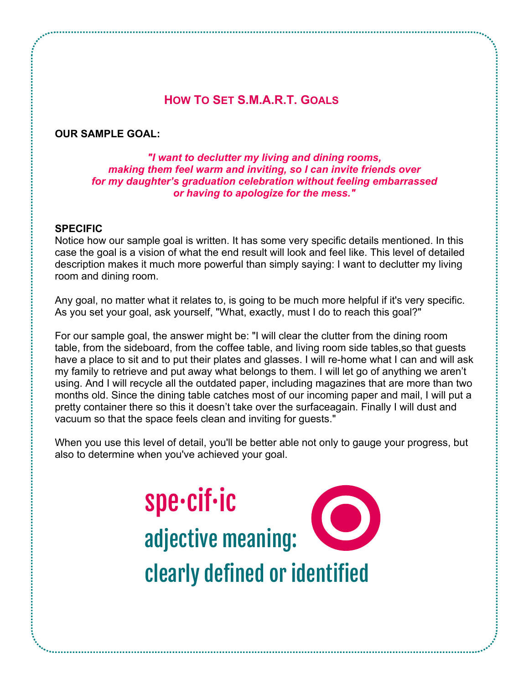## **OUR SAMPLE GOAL:**

*"I want to declutter my living and dining rooms, making them feel warm and inviting, so I can invite friends over for my daughter's graduation celebration without feeling embarrassed or having to apologize for the mess."*

#### **SPECIFIC**

Notice how our sample goal is written. It has some very specific details mentioned. In this case the goal is a vision of what the end result will look and feel like. This level of detailed description makes it much more powerful than simply saying: I want to declutter my living room and dining room.

Any goal, no matter what it relates to, is going to be much more helpful if it's very specific. As you set your goal, ask yourself, "What, exactly, must I do to reach this goal?"

For our sample goal, the answer might be: "I will clear the clutter from the dining room table, from the sideboard, from the coffee table, and living room side tables,so that guests have a place to sit and to put their plates and glasses. I will re-home what I can and will ask my family to retrieve and put away what belongs to them. I will let go of anything we aren't using. And I will recycle all the outdated paper, including magazines that are more than two months old. Since the dining table catches most of our incoming paper and mail, I will put a pretty container there so this it doesn't take over the surfaceagain. Finally I will dust and vacuum so that the space feels clean and inviting for guests."

When you use this level of detail, you'll be better able not only to gauge your progress, but also to determine when you've achieved your goal.

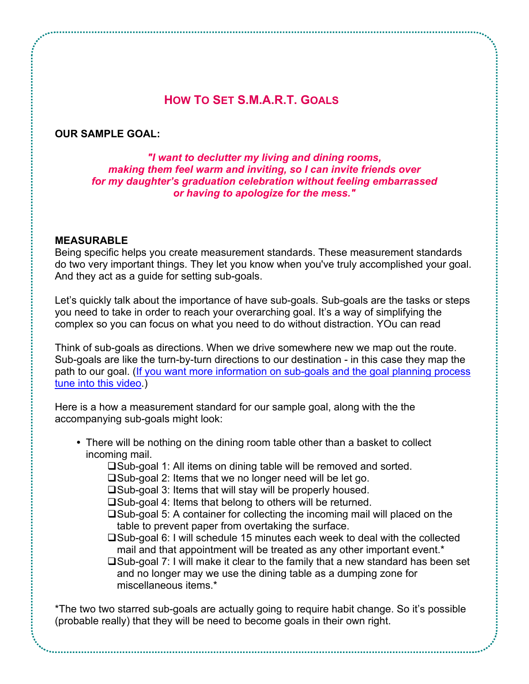#### **OUR SAMPLE GOAL:**

*"I want to declutter my living and dining rooms, making them feel warm and inviting, so I can invite friends over for my daughter's graduation celebration without feeling embarrassed or having to apologize for the mess."*

#### **MEASURABLE**

Being specific helps you create measurement standards. These measurement standards do two very important things. They let you know when you've truly accomplished your goal. And they act as a guide for setting sub-goals.

Let's quickly talk about the importance of have sub-goals. Sub-goals are the tasks or steps you need to take in order to reach your overarching goal. It's a way of simplifying the complex so you can focus on what you need to do without distraction. YOu can read

Think of sub-goals as directions. When we drive somewhere new we map out the route. Sub-goals are like the turn-by-turn directions to our destination - in this case they map the path to our goal. (If you want more [information](http://youtu.be/9ZPBk_oSkCI) on sub-goals and the goal planning process tune into this [video.](http://youtu.be/9ZPBk_oSkCI))

Here is a how a measurement standard for our sample goal, along with the the accompanying sub-goals might look:

- There will be nothing on the dining room table other than a basket to collect incoming mail.
	- $\square$ Sub-goal 1: All items on dining table will be removed and sorted.
	- $\square$ Sub-goal 2: Items that we no longer need will be let go.
	- $\square$ Sub-goal 3: Items that will stay will be properly housed.
	- $\square$ Sub-goal 4: Items that belong to others will be returned.
	- $\square$ Sub-goal 5: A container for collecting the incoming mail will placed on the table to prevent paper from overtaking the surface.
	- $\square$ Sub-goal 6: I will schedule 15 minutes each week to deal with the collected mail and that appointment will be treated as any other important event.\*
	- $\square$ Sub-goal 7: I will make it clear to the family that a new standard has been set and no longer may we use the dining table as a dumping zone for miscellaneous items.\*

\*The two two starred sub-goals are actually going to require habit change. So it's possible (probable really) that they will be need to become goals in their own right.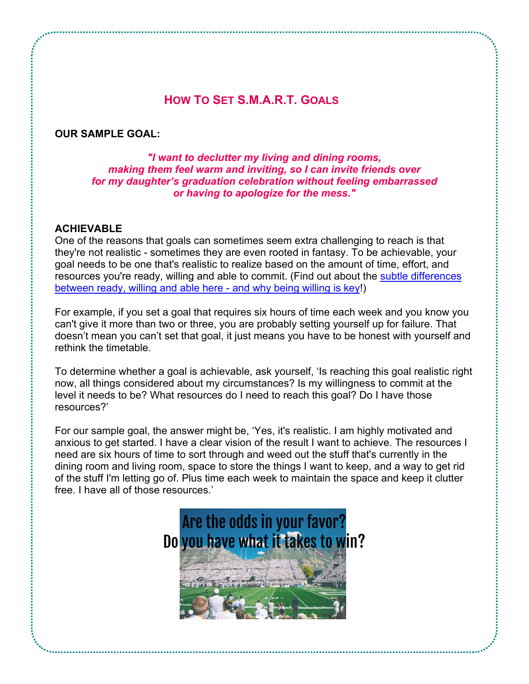## **OUR SAMPLE GOAL:**

*"I want to declutter my living and dining rooms, making them feel warm and inviting, so I can invite friends over for my daughter's graduation celebration without feeling embarrassed or having to apologize for the mess."*

## **ACHIEVABLE**

One of the reasons that goals can sometimes seem extra challenging to reach is that they're not realistic - sometimes they are even rooted in fantasy. To be achievable, your goal needs to be one that's realistic to realize based on the amount of time, effort, and resources you're ready, willing and able to commit. (Find out about the subtle [differences](http://youtu.be/R9kXnjFAMn8) [between](http://youtu.be/R9kXnjFAMn8) ready, willing and able here - and why being willing is key!)

For example, if you set a goal that requires six hours of time each week and you know you can't give it more than two or three, you are probably setting yourself up for failure. That doesn't mean you can't set that goal, it just means you have to be honest with yourself and rethink the timetable.

To determine whether a goal is achievable, ask yourself, 'Is reaching this goal realistic right now, all things considered about my circumstances? Is my willingness to commit at the level it needs to be? What resources do I need to reach this goal? Do I have those resources?'

For our sample goal, the answer might be, 'Yes, it's realistic. I am highly motivated and anxious to get started. I have a clear vision of the result I want to achieve. The resources I need are six hours of time to sort through and weed out the stuff that's currently in the dining room and living room, space to store the things I want to keep, and a way to get rid of the stuff I'm letting go of. Plus time each week to maintain the space and keep it clutter free. I have all of those resources.'

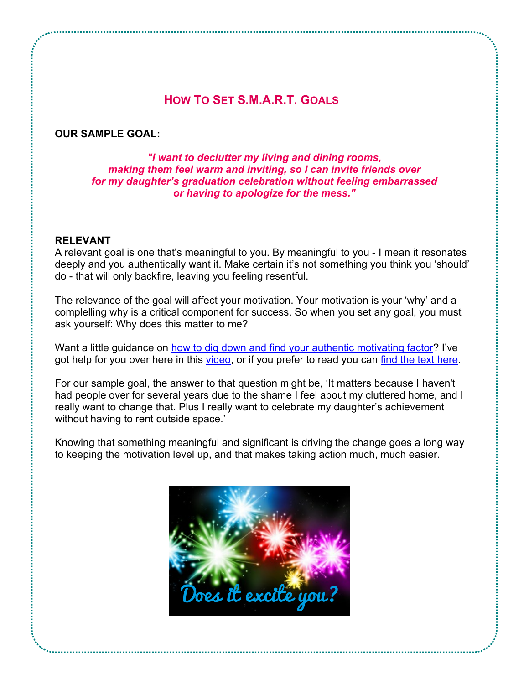#### **OUR SAMPLE GOAL:**

*"I want to declutter my living and dining rooms, making them feel warm and inviting, so I can invite friends over for my daughter's graduation celebration without feeling embarrassed or having to apologize for the mess."*

#### **RELEVANT**

A relevant goal is one that's meaningful to you. By meaningful to you - I mean it resonates deeply and you authentically want it. Make certain it's not something you think you 'should' do - that will only backfire, leaving you feeling resentful.

The relevance of the goal will affect your motivation. Your motivation is your 'why' and a complelling why is a critical component for success. So when you set any goal, you must ask yourself: Why does this matter to me?

Want a little quidance on how to dig down and find your authentic [motivating](http://youtu.be/x3mGLIBJ5gw) factor? I've got help for you over here in this [video](http://youtu.be/x3mGLIBJ5gw), or if you prefer to read you can find the text [here](http://organizingmaven.com/how-to-make-new-years-resolutions-stick/).

For our sample goal, the answer to that question might be, 'It matters because I haven't had people over for several years due to the shame I feel about my cluttered home, and I really want to change that. Plus I really want to celebrate my daughter's achievement without having to rent outside space.'

Knowing that something meaningful and significant is driving the change goes a long way to keeping the motivation level up, and that makes taking action much, much easier.

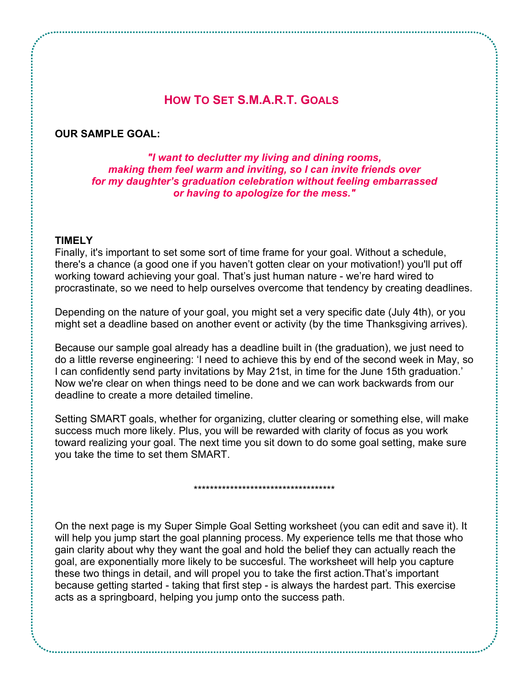## **OUR SAMPLE GOAL:**

*"I want to declutter my living and dining rooms, making them feel warm and inviting, so I can invite friends over for my daughter's graduation celebration without feeling embarrassed or having to apologize for the mess."*

#### **TIMELY**

Finally, it's important to set some sort of time frame for your goal. Without a schedule, there's a chance (a good one if you haven't gotten clear on your motivation!) you'll put off working toward achieving your goal. That's just human nature - we're hard wired to procrastinate, so we need to help ourselves overcome that tendency by creating deadlines.

Depending on the nature of your goal, you might set a very specific date (July 4th), or you might set a deadline based on another event or activity (by the time Thanksgiving arrives).

Because our sample goal already has a deadline built in (the graduation), we just need to do a little reverse engineering: 'I need to achieve this by end of the second week in May, so I can confidently send party invitations by May 21st, in time for the June 15th graduation.' Now we're clear on when things need to be done and we can work backwards from our deadline to create a more detailed timeline.

Setting SMART goals, whether for organizing, clutter clearing or something else, will make success much more likely. Plus, you will be rewarded with clarity of focus as you work toward realizing your goal. The next time you sit down to do some goal setting, make sure you take the time to set them SMART.

\*\*\*\*\*\*\*\*\*\*\*\*\*\*\*\*\*\*\*\*\*\*\*\*\*\*\*\*\*\*\*\*\*\*\*

On the next page is my Super Simple Goal Setting worksheet (you can edit and save it). It will help you jump start the goal planning process. My experience tells me that those who gain clarity about why they want the goal and hold the belief they can actually reach the goal, are exponentially more likely to be succesful. The worksheet will help you capture these two things in detail, and will propel you to take the first action.That's important because getting started - taking that first step - is always the hardest part. This exercise acts as a springboard, helping you jump onto the success path.